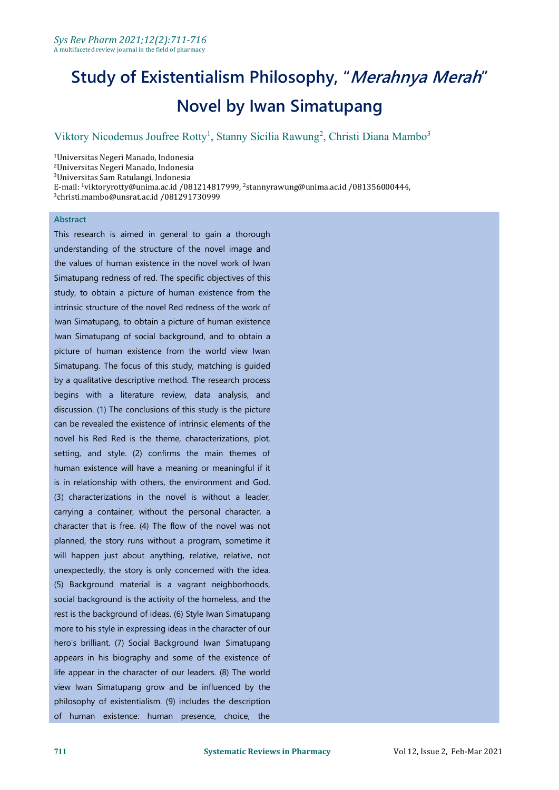# **Study of Existentialism Philosophy, "Merahnya Merah" Novel by Iwan Simatupang**

#### Viktory Nicodemus Joufree Rotty<sup>1</sup>, Stanny Sicilia Rawung<sup>2</sup>, Christi Diana Mambo<sup>3</sup> 3

Universitas Negeri Manado, Indonesia Universitas Negeri Manado, Indonesia Universitas Sam Ratulangi, Indonesia E-mail: <sup>1</sup>viktoryrotty@unima.ac.id /081214817999, <sup>2</sup>stannyrawung@unima.ac.id /081356000444, christi.mambo@unsrat.ac.id /081291730999

#### **Abstract**

This research is aimed in general to gain a thorough understanding of the structure of the novel image and the values of human existence in the novel work of Iwan Simatupang redness of red. The specific objectives of this study, to obtain a picture of human existence from the intrinsic structure of the novel Red redness of the work of Iwan Simatupang, to obtain a picture of human existence Iwan Simatupang of social background, and to obtain a picture of human existence from the world view Iwan Simatupang. The focus of this study, matching is guided by a qualitative descriptive method. The research process begins with a literature review, data analysis, and discussion. (1) The conclusions of this study is the picture can be revealed the existence of intrinsic elements of the novel his Red Red is the theme, characterizations, plot, setting, and style. (2) confirms the main themes of human existence will have a meaning or meaningful if it is in relationship with others, the environment and God. (3) characterizations in the novel is without a leader, carrying a container, without the personal character, a character that is free. (4) The flow of the novel was not planned, the story runs without a program, sometime it will happen just about anything, relative, relative, not unexpectedly, the story is only concerned with the idea. (5) Background material is a vagrant neighborhoods, social background is the activity of the homeless, and the rest is the background of ideas. (6) Style Iwan Simatupang more to his style in expressing ideas in the character of our hero's brilliant. (7) Social Background Iwan Simatupang appears in his biography and some of the existence of life appear in the character of our leaders. (8) The world view Iwan Simatupang grow and be influenced by the philosophy of existentialism. (9) includes the description of human existence: human presence, choice, the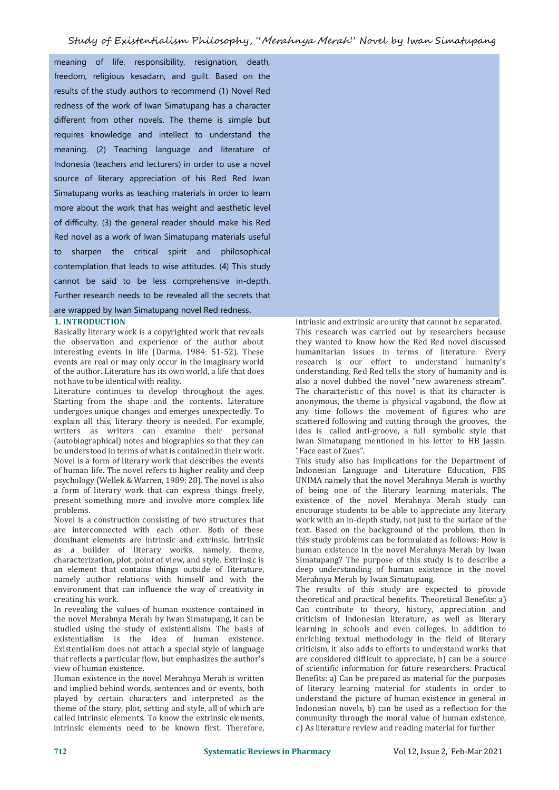meaning of life, responsibility, resignation, death, freedom, religious kesadarn, and guilt. Based on the results of the study authors to recommend (1) Novel Red redness of the work of Iwan Simatupang has a character different from other novels. The theme is simple but requires knowledge and intellect to understand the meaning. (2) Teaching language and literature of Indonesia (teachers and lecturers) in order to use a novel source of literary appreciation of his Red Red Iwan Simatupang works as teaching materials in order to learn more about the work that has weight and aesthetic level of difficulty. (3) the general reader should make his Red Red novel as a work of Iwan Simatupang materials useful to sharpen the critical spirit and philosophical contemplation that leads to wise attitudes. (4) This study cannot be said to be less comprehensive in-depth. Further research needs to be revealed all the secrets that are wrapped by Iwan Simatupang novel Red redness.

#### **1. INTRODUCTION**

Basically literary work is a copyrighted work that reveals the observation and experience of the author about interesting events in life (Darma, 1984: 51-52). These events are real or may only occur in the imaginary world of the author. Literature has its own world, a life that does not have to be identical with reality.

Literature continues to develop throughout the ages. Starting from the shape and the contents. Literature undergoes unique changes and emerges unexpectedly. To explain all this, literary theory is needed. For example, writers as writers can examine their personal (autobiographical) notes and biographies so that they can be understood in terms of what is contained in their work. Novel is a form of literary work that describes the events of human life. The novel refers to higher reality and deep psychology (Wellek & Warren, 1989: 28). The novel is also a form of literary work that can express things freely, present something more and involve more complex life problems.

Novel is a construction consisting of two structures that are interconnected with each other. Both of these dominant elements are intrinsic and extrinsic. Intrinsic as a builder of literary works, namely, theme, characterization, plot, point of view, and style. Extrinsic is an element that contains things outside of literature, namely author relations with himself and with the environment that can influence the way of creativity in creating his work.

In revealing the values of human existence contained in the novel Merahnya Merah by Iwan Simatupang, it can be studied using the study of existentialism. The basis of existentialism is the idea of human existence. Existentialism does not attach a special style of language that reflects a particular flow, but emphasizes the author's view of human existence.

Human existence in the novel Merahnya Merah is written and implied behind words, sentences and or events, both played by certain characters and interpreted as the theme of the story, plot, setting and style, all of which are called intrinsic elements.To know the extrinsic elements, intrinsic elements need to be known first. Therefore,



This study also has implications for the Department of Indonesian Language and Literature Education, FBS UNIMA namely that the novel Merahnya Merah is worthy of being one of the literary learning materials. The existence of the novel Merahnya Merah study can encourage students to be able to appreciate any literary work with an in-depth study, not just to the surface of the text. Based on the background of the problem, then in this study problems can be formulated as follows: How is human existence in the novel Merahnya Merah by Iwan Simatupang? The purpose of this study is to describe a deep understanding of human existence in the novel Merahnya Merah by Iwan Simatupang.

The results of this study are expected to provide theoretical and practical benefits. Theoretical Benefits: a) Can contribute to theory, history, appreciation and criticism of Indonesian literature, as well as literary learning in schools and even colleges. In addition to enriching textual methodology in the field of literary criticism, it also adds to efforts to understand works that are considered difficult to appreciate, b) can be a source of scientific information for future researchers. Practical Benefits: a) Can be prepared as material for the purposes of literary learning material for students in order to understand the picture of human existence in general in Indonesian novels, b) can be used as a reflection for the community through the moral value of human existence, c) As literature review and reading material for further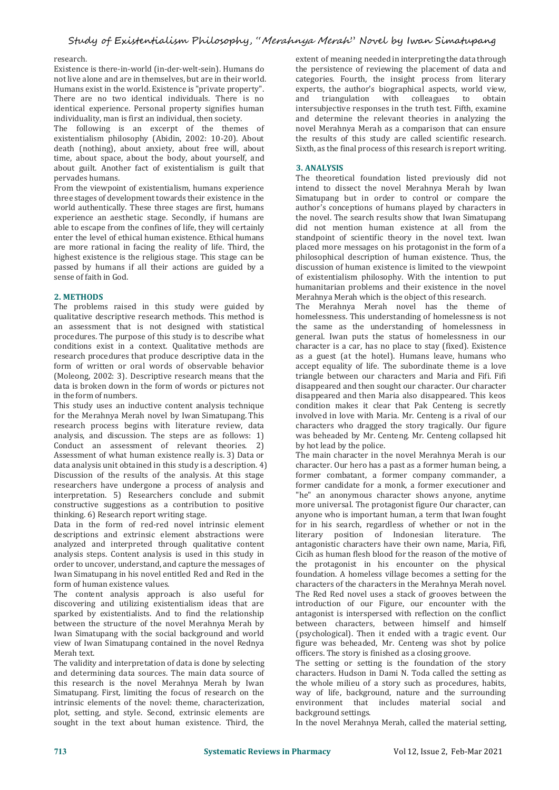## research.

Existence is there-in-world (in-der-welt-sein). Humans do not live alone and are in themselves, but are in their world. Humans exist in the world. Existence is "private property". There are no two identical individuals. There is no identical experience. Personal property signifies human individuality, man is first an individual, then society.

The following is an excerpt of the themes of existentialism philosophy (Abidin, 2002: 10-20). About death (nothing), about anxiety, about free will, about time, about space, about the body, about yourself, and about guilt. Another fact of existentialism is guilt that pervades humans.

From the viewpoint of existentialism, humans experience three stages of development towards their existence in the world authentically. These three stages are first, humans experience an aesthetic stage. Secondly, if humans are able to escape from the confines of life, they will certainly enter the level of ethical human existence. Ethical humans are more rational in facing the reality of life. Third, the highest existence is the religious stage. This stage can be passed by humans if all their actions are guided by a sense of faith in God.

#### **2. METHODS**

The problems raised in this study were guided by qualitative descriptive research methods. This method is an assessment that is not designed with statistical procedures. The purpose of this study is to describe what conditions exist in a context. Qualitative methods are research procedures that produce descriptive data in the form of written or oral words of observable behavior (Moleong, 2002: 3). Descriptive research means that the data is broken down in the form of words or pictures not in the form of numbers.

This study uses an inductive content analysis technique for the Merahnya Merah novel by Iwan Simatupang. This research process begins with literature review, data analysis, and discussion. The steps are as follows: 1) Conduct an assessment of relevant theories. 2) Assessment of what human existence really is. 3) Data or data analysis unit obtained in this study is a description.4) Discussion of the results of the analysis. At this stage researchers have undergone a process of analysis and interpretation. 5) Researchers conclude and submit constructive suggestions as a contribution to positive thinking. 6) Research report writing stage.

Data in the form of red-red novel intrinsic element descriptions and extrinsic element abstractions were analyzed and interpreted through qualitative content analysis steps. Content analysis is used in this study in order to uncover, understand, and capture the messages of Iwan Simatupang in his novel entitled Red and Red in the form of human existence values.

The content analysis approach is also useful for discovering and utilizing existentialism ideas that are sparked by existentialists. And to find the relationship between the structure of the novel Merahnya Merah by Iwan Simatupang with the social background and world view of Iwan Simatupang contained in the novel Rednya Merah text.

The validity and interpretation of data is done by selecting and determining data sources. The main data source of this research is the novel Merahnya Merah by Iwan Simatupang. First, limiting the focus of research on the intrinsic elements of the novel: theme, characterization, plot, setting, and style. Second, extrinsic elements are sought in the text about human existence. Third, the

extent of meaning needed in interpreting the data through the persistence of reviewing the placement of data and categories. Fourth, the insight process from literary experts, the author's biographical aspects, world view,<br>and triangulation with colleagues to obtain and triangulation with colleagues intersubjective responses in the truth test. Fifth, examine and determine the relevant theories in analyzing the novel Merahnya Merah as a comparison that can ensure the results of this study are called scientific research. Sixth, as the final process of this research is report writing.

#### **3. ANALYSIS**

The theoretical foundation listed previously did not intend to dissect the novel Merahnya Merah by Iwan Simatupang but in order to control or compare the author's conceptions of humans played by characters in the novel. The search results show that Iwan Simatupang did not mention human existence at all from the standpoint of scientific theory in the novel text. Iwan placed more messages on his protagonist in the form of a philosophical description of human existence. Thus, the discussion of human existence is limited to the viewpoint of existentialism philosophy. With the intention to put humanitarian problems and their existence in the novel Merahnya Merah which is the object of this research.

The Merahnya Merah novel has the theme of homelessness. This understanding of homelessness is not the same as the understanding of homelessness in general. Iwan puts the status of homelessness in our character is a car, has no place to stay (fixed). Existence as a guest (at the hotel). Humans leave, humans who accept equality of life. The subordinate theme is a love triangle between our characters and Maria and Fifi. Fifi disappeared and then sought our character. Our character disappeared and then Maria also disappeared. This keos condition makes it clear that Pak Centeng is secretly involved in love with Maria. Mr. Centeng is a rival of our characters who dragged the story tragically. Our figure was beheaded by Mr. Centeng. Mr. Centeng collapsed hit by hot lead by the police.

The main character in the novel Merahnya Merah is our character. Our hero has a past as a former human being, a former combatant, a former company commander, a former candidate for a monk, a former executioner and "he" an anonymous character shows anyone, anytime more universal. The protagonist figure Our character, can anyone who is important human, a term that Iwan fought for in his search, regardless of whether or not in the literary position of Indonesian literature. The antagonistic characters have their own name, Maria, Fifi, Cicih as human flesh blood for the reason of the motive of the protagonist in his encounter on the physical foundation. A homeless village becomes a setting for the characters of the characters in the Merahnya Merah novel. The Red Red novel uses a stack of grooves between the introduction of our Figure, our encounter with the antagonist is interspersed with reflection on the conflict between characters, between himself and himself (psychological). Then it ended with a tragic event. Our figure was beheaded, Mr. Centeng was shot by police officers. The story is finished as a closing groove.

The setting or setting is the foundation of the story characters. Hudson in Dami N. Toda called the setting as the whole milieu of a story such as procedures, habits, way of life, background, nature and the surrounding<br>environment that includes material social and environment that includes material social background settings.

In the novel Merahnya Merah, called the material setting,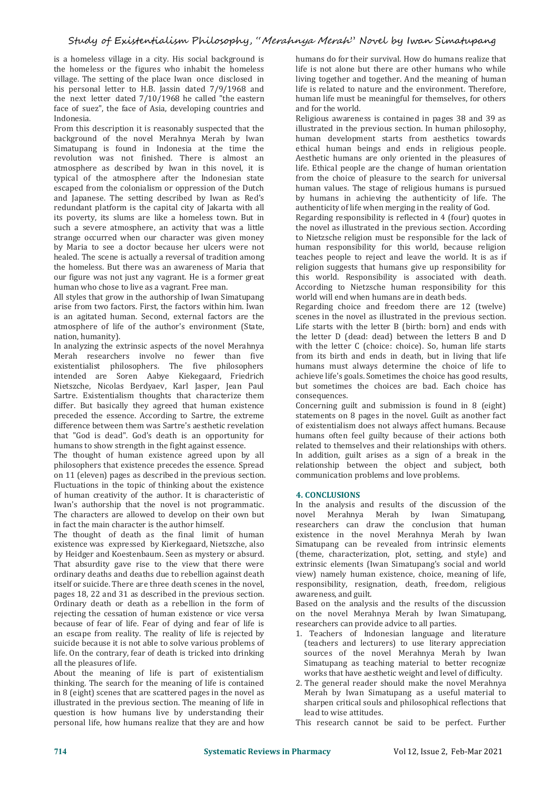is a homeless village in a city. His social background is the homeless or the figures who inhabit the homeless village. The setting of the place Iwan once disclosed in his personal letter to H.B. Jassin dated 7/9/1968 and the next letter dated 7/10/1968 he called "the eastern face of suez", the face of Asia, developing countries and Indonesia.

From this description it is reasonably suspected that the background of the novel Merahnya Merah by Iwan Simatupang is found in Indonesia at the time the revolution was not finished. There is almost an atmosphere as described by Iwan in this novel, it is typical of the atmosphere after the Indonesian state escaped from the colonialism or oppression of the Dutch and Japanese. The setting described by Iwan as Red's redundant platform is the capital city of Jakarta with all its poverty, its slums are like a homeless town. But in such a severe atmosphere, an activity that was a little strange occurred when our character was given money by Maria to see a doctor because her ulcers were not healed. The scene is actually a reversal of tradition among the homeless. But there was an awareness of Maria that our figure was not just any vagrant. He is a former great human who chose to live as a vagrant. Free man.

All styles that grow in the authorship of Iwan Simatupang arise from two factors. First, the factors within him. Iwan is an agitated human. Second, external factors are the atmosphere of life of the author's environment (State, nation, humanity).

In analyzing the extrinsic aspects of the novel Merahnya Merah researchers involve no fewer than five existentialist philosophers. The five philosophers intended are Soren Aabye Kiekegaard, Friedrich Nietszche, Nicolas Berdyaev, Karl Jasper, Jean Paul Sartre. Existentialism thoughts that characterize them differ. But basically they agreed that human existence preceded the essence. According to Sartre, the extreme difference between them was Sartre's aesthetic revelation that "God is dead". God's death is an opportunity for humans to show strength in the fight against essence.

The thought of human existence agreed upon by all philosophers that existence precedes the essence. Spread on 11 (eleven) pages as described in the previous section. Fluctuations in the topic of thinking about the existence of human creativity of the author. It is characteristic of Iwan's authorship that the novel is not programmatic. In the analysis and results of the discussion of the The characters are allowed to develop on their own but movel Merahnya Merah by Iwan Simatupang, The characters are allowed to develop on their own but in fact the main character is the author himself.

The thought of death as the final limit of human existence was expressed by Kierkegaard, Nietszche, also by Heidger and Koestenbaum. Seen as mystery or absurd. That absurdity gave rise to the view that there were ordinary deaths and deaths due to rebellion against death itself or suicide. There are three death scenes in the novel, pages 18, 22 and 31 as described in the previous section. Ordinary death or death as a rebellion in the form of rejecting the cessation of human existence or vice versa<br>because of fear of life. Fear of dving and fear of life is an escape from reality. The reality of life is rejected by suicide because it is notable to solve various problems of life. On the contrary, fear of death is tricked into drinking all the pleasures of life.

About the meaning of life is part of existentialism thinking. The search for the meaning of life is contained in 8 (eight) scenes that are scattered pages in the novel as illustrated in the previous section. The meaning of life in question is how humans live by understanding their personal life, how humans realize that they are and how

humans do for their survival.How do humans realize that life is not alone but there are other humans who while living together and together. And the meaning of human life is related to nature and the environment. Therefore, human life must be meaningful for themselves, for others and for the world.

Religious awareness is contained in pages 38 and 39 as illustrated in the previous section. In human philosophy, human development starts from aesthetics towards ethical human beings and ends in religious people. Aesthetic humans are only oriented in the pleasures of life. Ethical people are the change of human orientation from the choice of pleasure to the search for universal human values. The stage of religious humans is pursued by humans in achieving the authenticity of life. The authenticity of life when merging in the reality of God.

Regarding responsibility is reflected in 4 (four) quotes in the novel as illustrated in the previous section. According to Nietzsche religion must be responsible for the lack of human responsibility for this world, because religion teaches people to reject and leave the world. It is as if religion suggests that humans give up responsibility for this world. Responsibility is associated with death. According to Nietzsche human responsibility for this world will end when humans are in death beds.

Regarding choice and freedom there are 12 (twelve) scenes in the novel as illustrated in the previous section. Life starts with the letter  $B$  (birth: born) and ends with the letter D (dead: dead) between the letters B and D with the letter C (choice: choice). So, human life starts from its birth and ends in death, but in living that life humans must always determine the choice of life to achieve life's goals. Sometimes the choice has good results, but sometimes the choices are bad. Each choice has consequences.

Concerning guilt and submission is found in 8 (eight) statements on 8 pages in the novel. Guilt as another fact of existentialism does not always affect humans. Because humans often feel guilty because of their actions both related to themselves and their relationships with others. In addition, guilt arises as a sign of a break in the relationship between the object and subject, both communication problems and love problems.

#### **4. CONCLUSIONS**

In the analysis and results of the discussion of the researchers can draw the conclusion that human existence in the novel Merahnya Merah by Iwan Simatupang can be revealed from intrinsic elements (theme, characterization, plot, setting, and style) and extrinsic elements (Iwan Simatupang's social and world view) namely human existence, choice, meaning of life, responsibility, resignation, death, freedom, religious awareness, and guilt.

Based on the analysis and the results of the discussion on the novel Merahnya Merah by Iwan Simatupang, researchers can provide advice to all parties.

- 1. Teachers of Indonesian language and literature (teachers and lecturers) to use literary appreciation sources of the novel Merahnya Merah by Iwan Simatupang as teaching material to better recognize works that have aesthetic weight and level of difficulty.
- 2. The general reader should make the novel Merahnya Merah by Iwan Simatupang as a useful material to sharpen critical souls and philosophical reflections that lead to wise attitudes.

This research cannot be said to be perfect. Further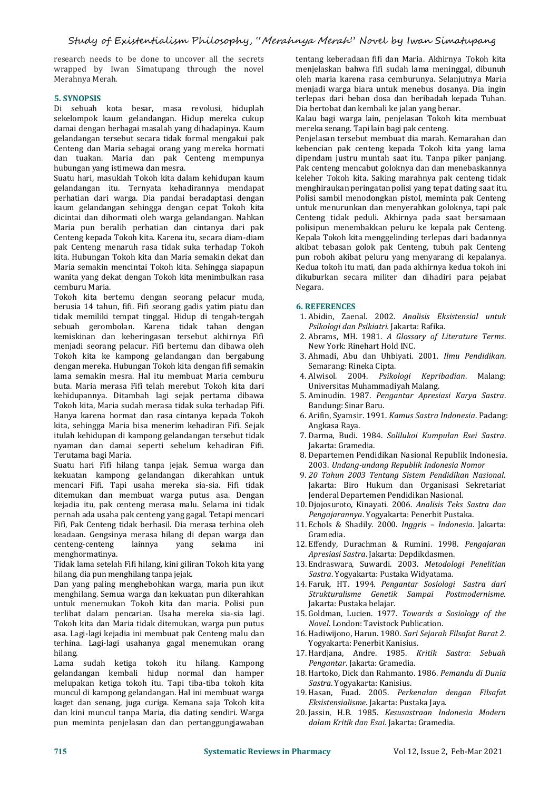research needs to be done to uncover all the secrets wrapped by Iwan Simatupang through the novel Merahnya Merah.

### **5. SYNOPSIS**

Di sebuah kota besar, masa revolusi, hiduplah sekelompok kaum gelandangan. Hidup mereka cukup damai dengan berbagai masalah yang dihadapinya. Kaum gelandangan tersebut secara tidak formal mengakui pak Centeng dan Maria sebagai orang yang mereka hormati kebencian pak centeng kepada Tokoh kita yang lama<br>dan tuakan. Maria dan pak Centeng mempunya kebendam justru muntah saat itu. Tanpa piker panjang. dan tuakan. Maria dan pak Centeng mempunya hubungan yang istimewa dan mesra.

Suatu hari, masuklah Tokoh kita dalam kehidupan kaum gelandangan itu. Ternyata kehadirannya mendapat perhatian dari warga. Dia pandai beradaptasi dengan kaum gelandangan sehingga dengan cepat Tokoh kita dicintai dan dihormati oleh warga gelandangan. Nahkan Maria pun beralih perhatian dan cintanya dari pak Centeng kepada Tokoh kita. Karena itu, secara diam-diam pak Centeng menaruh rasa tidak suka terhadap Tokoh kita. Hubungan Tokoh kita dan Maria semakin dekat dan Maria semakin mencintai Tokoh kita. Sehingga siapapun wanita yang dekat dengan Tokoh kita menimbulkan rasa cemburu Maria.

Tokoh kita bertemu dengan seorang pelacur muda, berusia 14 tahun, fifi. Fifi seorang gadis yatim piatu dan tidak memiliki tempat tinggal. Hidup di tengah-tengah sebuah gerombolan. Karena tidak tahan dengan kemiskinan dan keberingasan tersebut akhirnya Fifi menjadi seorang pelacur. Fifi bertemu dan dibawa oleh Tokoh kita ke kampong gelandangan dan bergabung dengan mereka. Hubungan Tokoh kita dengan fifi semakin lama semakin mesra. Hal itu membuat Maria cemburu buta. Maria merasa Fifi telah merebut Tokoh kita dari kehidupannya. Ditambah lagi sejak pertama dibawa Tokoh kita, Maria sudah merasa tidak suka terhadap Fifi. Hanya karena hormat dan rasa cintanya kepada Tokoh kita, sehingga Maria bisa menerim kehadiran Fifi. Sejak itulah kehidupan di kampong gelandangan tersebut tidak nyaman dan damai seperti sebelum kehadiran Fifi. Terutama bagi Maria.

Suatu hari Fifi hilang tanpa jejak. Semua warga dan kekuatan kampong gelandangan dikerahkan untuk mencari Fifi. Tapi usaha mereka sia-sia. Fifi tidak ditemukan dan membuat warga putus asa. Dengan kejadia itu, pak centeng merasa malu. Selama ini tidak 10. Djojosuroto, Kinayati. 2006. *Analisis Teks Sa*<br>19. pernah ada usaha pak centeng yang gagal. Tetapi mencari *Pengajarannya*. Yogyakarta: Penerbit Pustaka. pernah ada usaha pak centeng yang gagal. Tetapi mencari Fifi, Pak Centeng tidak berhasil. Dia merasa terhina oleh keadaan. Gengsinya merasa hilang di depan warga dan centeng-centeng lainnya yang selama ini 12. Effendy, Durachman & Rumini. 1998<br>menghormatinya. *Apresiasi Sastra*. Jakarta: Depdikdasmen. menghormatinya.

Tidak lama setelah Fifi hilang, kini giliran Tokoh kita yang hilang, dia pun menghilang tanpa jejak.

Dan yang paling menghebohkan warga, maria pun ikut menghilang. Semua warga dan kekuatan pun dikerahkan untuk menemukan Tokoh kita dan maria. Polisi pun terlibat dalam pencarian. Usaha mereka sia-sia lagi. 15. Goldman, Lucien. 1977. Towards a<br>Tokoh kita dan Maria tidak ditemukan. warga pun putus Novel. London: Tavistock Publication. Tokoh kita dan Maria tidak ditemukan, warga pun putus asa. Lagi-lagi kejadia ini membuat pak Centeng malu dan terhina. Lagi-lagi usahanya gagal menemukan orang hilang.

Lama sudah ketiga tokoh itu hilang. Kampong *Penganta* gelandangan kembali hidup normal dan hamper melupakan ketiga tokoh itu. Tapi tiba-tiba tokoh kita muncul di kampong gelandangan. Hal ini membuat warga kaget dan senang, juga curiga. Kemana saja Tokoh kita dan kini muncul tanpa Maria, dia dating sendiri. Warga pun meminta penjelasan dan dan pertanggungjawaban

tentang keberadaan fifi dan Maria. Akhirnya Tokoh kita menjelaskan bahwa fifi sudah lama meninggal, dibunuh oleh maria karena rasa cemburunya. Selanjutnya Maria menjadi warga biara untuk menebus dosanya. Dia ingin terlepas dari beban dosa dan beribadah kepada Tuhan. Dia bertobat dan kembali ke jalan yang benar.

Kalau bagi warga lain, penjelasan Tokoh kita membuat mereka senang. Tapi lain bagi pak centeng.

Penjelasan tersebut membuat dia marah. Kemarahan dan kebencian pak centeng kepada Tokoh kita yang lama Pak centeng mencabut goloknya dan dan menebaskannya keleher Tokoh kita. Saking marahnya pak centeng tidak menghiraukan peringatan polisi yang tepat dating saat itu. Polisi sambil menodongkan pistol, meminta pak Centeng untuk menurunkan dan menyerahkan goloknya, tapi pak Centeng tidak peduli. Akhirnya pada saat bersamaan polisipun menembakkan peluru ke kepala pak Centeng. Kepala Tokoh kita menggelinding terlepas dari badannya akibat tebasan golok pak Centeng, tubuh pak Centeng pun roboh akibat peluru yang menyarang di kepalanya. Kedua tokoh itu mati, dan pada akhirnya kedua tokoh ini dikuburkan secara militer dan dihadiri para pejabat Negara.

#### **6. REFERENCES**

- 1. Abidin, Zaenal. 2002. *Analisis Eksistensial untuk Psikologi dan Psikiatri.* Jakarta: Rafika.
- 2. Abrams, MH. 1981. *A Glossary of Literature Terms*. New York: Rinehart Hold INC.
- 3. Ahmadi, Abu dan Uhbiyati.2001. *Ilmu Pendidikan*. Semarang: Rineka Cipta.
- 4. Alwisol. 2004. *Psikologi Kepribadian*. Malang: Universitas Muhammadiyah Malang.
- 5. Aminudin. 1987. *Pengantar Apresiasi Karya Sastra*. Bandung: Sinar Baru.
- 6. Arifin, Syamsir. 1991. *Kamus Sastra Indonesia*. Padang: Angkasa Raya.
- 7. Darma, Budi. 1984. *Solilukoi Kumpulan Esei Sastra*. Jakarta: Gramedia.
- 8. Departemen Pendidikan Nasional Republik Indonesia. 2003. *Undang-undang Republik Indonesia Nomor*
- 9. *20 Tahun 2003 Tentang Sistem Pendidikan Nasional*. Jakarta: Biro Hukum dan Organisasi Sekretariat Jenderal Departemen Pendidikan Nasional.
- 10. Djojosuroto, Kinayati. 2006. *Analisis Teks Sastra dan*
- 11. Echols & Shadily. 2000. *Inggris – Indonesia*. Jakarta: Gramedia.
- 12. Effendy, Durachman & Rumini. 1998. Pengajaran
- 13. Endraswara, Suwardi. 2003. *Metodologi Penelitian Sastra*. Yogyakarta: Pustaka Widyatama.
- 14. Faruk, HT. 1994. *Pengantar Sosiologi Sastra dari Strukturalisme Genetik SampaiPostmodernisme*. Jakarta: Pustaka belajar.
- 15. Goldman, Lucien. 1977. *Towards a Sosiology of the*
- 16. Hadiwijono, Harun. 1980. *Sari Sejarah Filsafat Barat 2*. Yogyakarta: Penerbit Kanisius.
- 17. Hardjana, Andre. 1985. *Kritik Sastra: Sebuah Pengantar*. Jakarta: Gramedia.
- 18. Hartoko, Dick dan Rahmanto. 1986. *Pemandu di Dunia Sastra*. Yogyakarta: Kanisius.
- 19. Hasan, Fuad. 2005. *Perkenalan dengan Filsafat Eksistensialisme*. Jakarta: Pustaka Jaya.
- 20. Jassin, H.B. 1985. *Kesusastraan Indonesia Modern dalam Kritik dan Esai*. Jakarta:Gramedia.